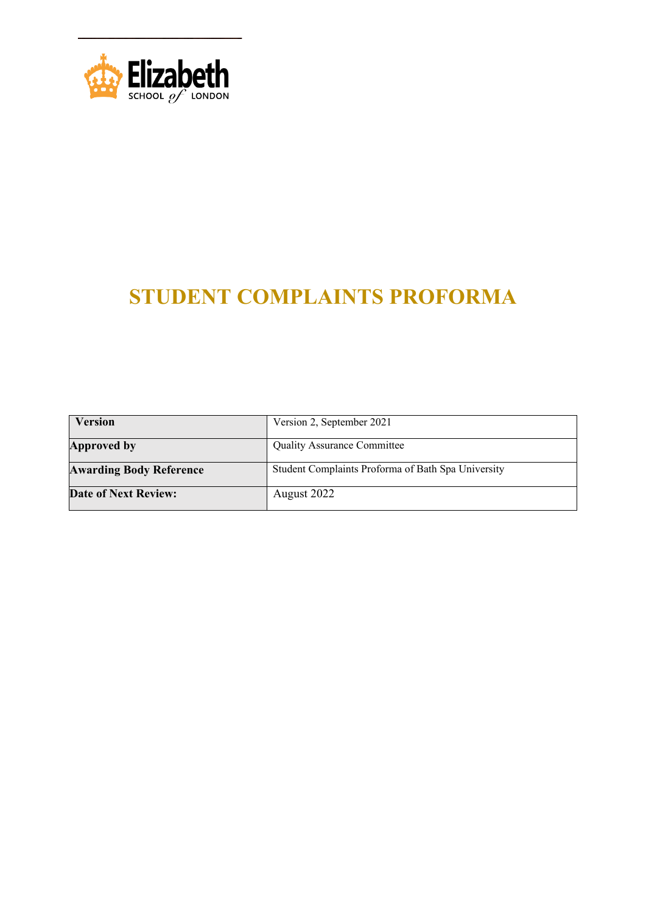

# **STUDENT COMPLAINTS PROFORMA**

| <b>Version</b>                 | Version 2, September 2021                          |
|--------------------------------|----------------------------------------------------|
| Approved by                    | <b>Quality Assurance Committee</b>                 |
| <b>Awarding Body Reference</b> | Student Complaints Proforma of Bath Spa University |
| <b>Date of Next Review:</b>    | August 2022                                        |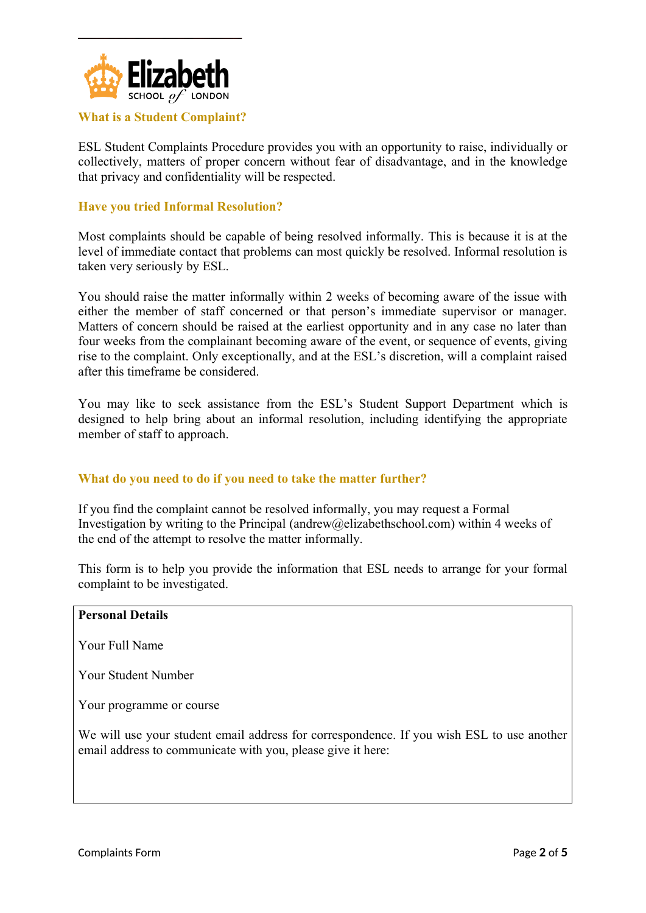

#### **What is a Student Complaint?**

ESL Student Complaints Procedure provides you with an opportunity to raise, individually or collectively, matters of proper concern without fear of disadvantage, and in the knowledge that privacy and confidentiality will be respected.

#### **Have you tried Informal Resolution?**

Most complaints should be capable of being resolved informally. This is because it is at the level of immediate contact that problems can most quickly be resolved. Informal resolution is taken very seriously by ESL.

You should raise the matter informally within 2 weeks of becoming aware of the issue with either the member of staff concerned or that person's immediate supervisor or manager. Matters of concern should be raised at the earliest opportunity and in any case no later than four weeks from the complainant becoming aware of the event, or sequence of events, giving rise to the complaint. Only exceptionally, and at the ESL's discretion, will a complaint raised after this timeframe be considered.

You may like to seek assistance from the ESL's Student Support Department which is designed to help bring about an informal resolution, including identifying the appropriate member of staff to approach.

#### **What do you need to do if you need to take the matter further?**

If you find the complaint cannot be resolved informally, you may request a Formal Investigation by writing to the Principal ([andrew@elizabethschool.com](mailto:andrew@elizabethschool.com)) within 4 weeks of the end of the attempt to resolve the matter informally.

This form is to help you provide the information that ESL needs to arrange for your formal complaint to be investigated.

# **Personal Details** Your Full Name Your Student Number Your programme or course We will use your student email address for correspondence. If you wish ESL to use another email address to communicate with you, please give it here: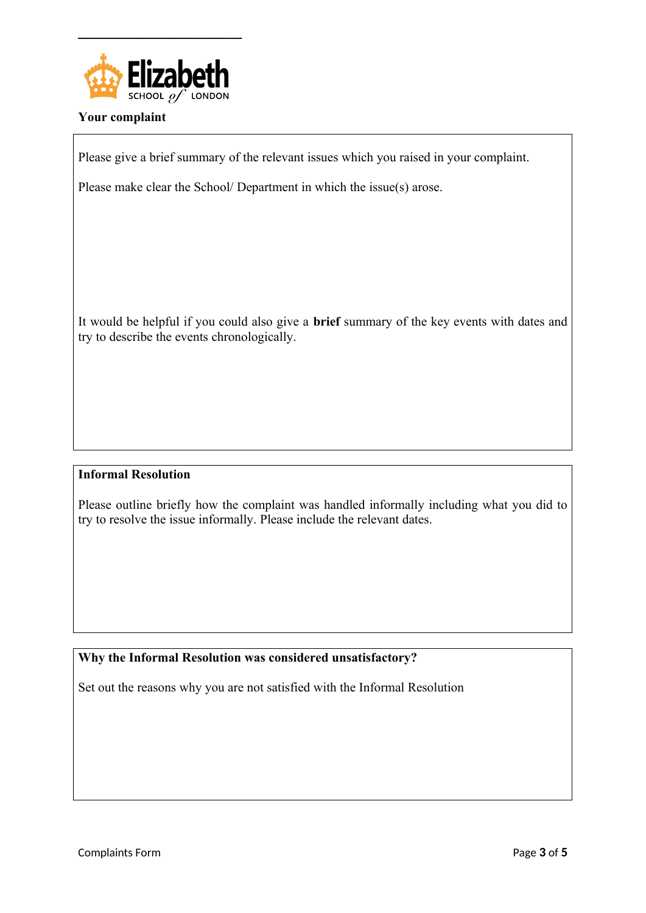

### **Your complaint**

Please give a brief summary of the relevant issues which you raised in your complaint.

Please make clear the School/ Department in which the issue(s) arose.

It would be helpful if you could also give a **brief** summary of the key events with dates and try to describe the events chronologically.

### **Informal Resolution**

Please outline briefly how the complaint was handled informally including what you did to try to resolve the issue informally. Please include the relevant dates.

### **Why the Informal Resolution was considered unsatisfactory?**

Set out the reasons why you are not satisfied with the Informal Resolution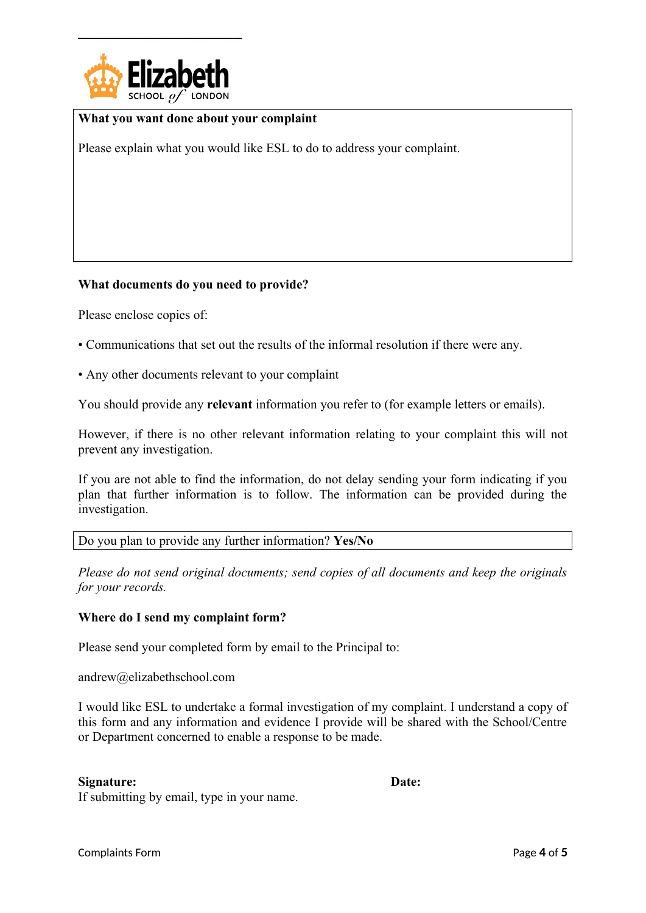

#### **What you want done about your complaint**

Please explain what you would like ESL to do to address your complaint.

#### **What documents do you need to provide?**

Please enclose copies of:

- Communications that set out the results of the informal resolution if there were any.
- Any other documents relevant to your complaint

You should provide any **relevant** information you refer to (for example letters or emails).

However, if there is no other relevant information relating to your complaint this will not prevent any investigation.

If you are not able to find the information, do not delay sending your form indicating if you plan that further information is to follow. The information can be provided during the investigation.

#### Do you plan to provide any further information? **Yes/No**

*Please do not send original documents; send copies of all documents and keep the originals for your records.*

#### **Where do I send my complaint form?**

Please send your completed form by email to the Principal to:

[andrew@elizabethschool.com](mailto:andrew@elizabethschool.com)

I would like ESL to undertake a formal investigation of my complaint. I understand a copy of this form and any information and evidence I provide will be shared with the School/Centre or Department concerned to enable a response to be made.

#### **Signature: Date:**

If submitting by email, type in your name.